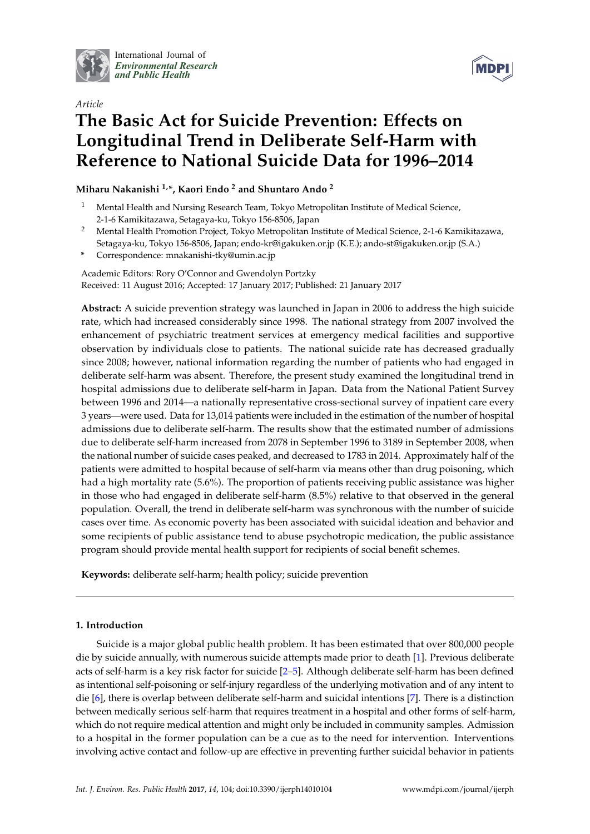

International Journal of *[Environmental Research](http://www.mdpi.com/journal/ijerph) and Public Health*



# *Article* **The Basic Act for Suicide Prevention: Effects on Longitudinal Trend in Deliberate Self-Harm with Reference to National Suicide Data for 1996–2014**

## **Miharu Nakanishi 1,\*, Kaori Endo <sup>2</sup> and Shuntaro Ando <sup>2</sup>**

- <sup>1</sup> Mental Health and Nursing Research Team, Tokyo Metropolitan Institute of Medical Science, 2-1-6 Kamikitazawa, Setagaya-ku, Tokyo 156-8506, Japan
- <sup>2</sup> Mental Health Promotion Project, Tokyo Metropolitan Institute of Medical Science, 2-1-6 Kamikitazawa, Setagaya-ku, Tokyo 156-8506, Japan; endo-kr@igakuken.or.jp (K.E.); ando-st@igakuken.or.jp (S.A.)
- **\*** Correspondence: mnakanishi-tky@umin.ac.jp

Academic Editors: Rory O'Connor and Gwendolyn Portzky Received: 11 August 2016; Accepted: 17 January 2017; Published: 21 January 2017

**Abstract:** A suicide prevention strategy was launched in Japan in 2006 to address the high suicide rate, which had increased considerably since 1998. The national strategy from 2007 involved the enhancement of psychiatric treatment services at emergency medical facilities and supportive observation by individuals close to patients. The national suicide rate has decreased gradually since 2008; however, national information regarding the number of patients who had engaged in deliberate self-harm was absent. Therefore, the present study examined the longitudinal trend in hospital admissions due to deliberate self-harm in Japan. Data from the National Patient Survey between 1996 and 2014—a nationally representative cross-sectional survey of inpatient care every 3 years—were used. Data for 13,014 patients were included in the estimation of the number of hospital admissions due to deliberate self-harm. The results show that the estimated number of admissions due to deliberate self-harm increased from 2078 in September 1996 to 3189 in September 2008, when the national number of suicide cases peaked, and decreased to 1783 in 2014. Approximately half of the patients were admitted to hospital because of self-harm via means other than drug poisoning, which had a high mortality rate (5.6%). The proportion of patients receiving public assistance was higher in those who had engaged in deliberate self-harm (8.5%) relative to that observed in the general population. Overall, the trend in deliberate self-harm was synchronous with the number of suicide cases over time. As economic poverty has been associated with suicidal ideation and behavior and some recipients of public assistance tend to abuse psychotropic medication, the public assistance program should provide mental health support for recipients of social benefit schemes.

**Keywords:** deliberate self-harm; health policy; suicide prevention

### **1. Introduction**

Suicide is a major global public health problem. It has been estimated that over 800,000 people die by suicide annually, with numerous suicide attempts made prior to death [\[1\]](#page-6-0). Previous deliberate acts of self-harm is a key risk factor for suicide [\[2–](#page-6-1)[5\]](#page-7-0). Although deliberate self-harm has been defined as intentional self-poisoning or self-injury regardless of the underlying motivation and of any intent to die [\[6\]](#page-7-1), there is overlap between deliberate self-harm and suicidal intentions [\[7\]](#page-7-2). There is a distinction between medically serious self-harm that requires treatment in a hospital and other forms of self-harm, which do not require medical attention and might only be included in community samples. Admission to a hospital in the former population can be a cue as to the need for intervention. Interventions involving active contact and follow-up are effective in preventing further suicidal behavior in patients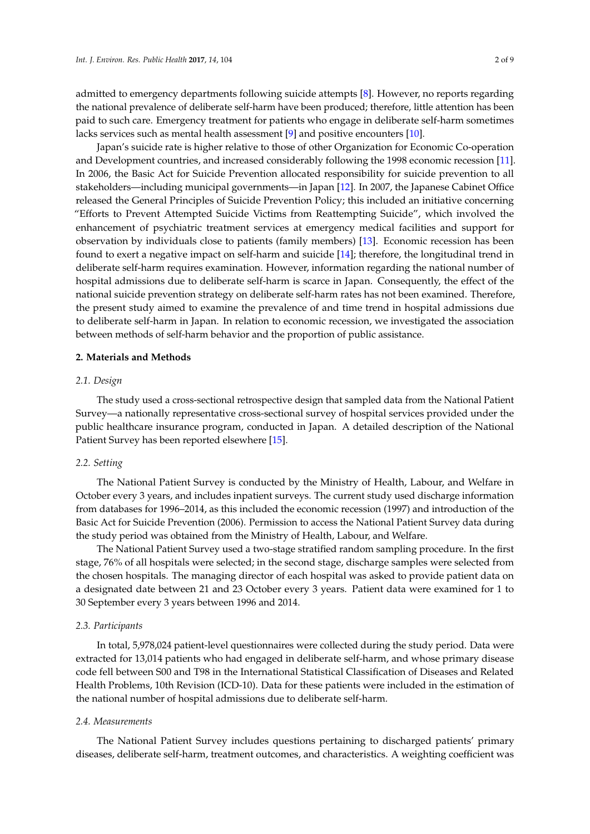admitted to emergency departments following suicide attempts [\[8\]](#page-7-3). However, no reports regarding the national prevalence of deliberate self-harm have been produced; therefore, little attention has been paid to such care. Emergency treatment for patients who engage in deliberate self-harm sometimes lacks services such as mental health assessment [\[9\]](#page-7-4) and positive encounters [\[10\]](#page-7-5).

Japan's suicide rate is higher relative to those of other Organization for Economic Co-operation and Development countries, and increased considerably following the 1998 economic recession [\[11\]](#page-7-6). In 2006, the Basic Act for Suicide Prevention allocated responsibility for suicide prevention to all stakeholders—including municipal governments—in Japan [\[12\]](#page-7-7). In 2007, the Japanese Cabinet Office released the General Principles of Suicide Prevention Policy; this included an initiative concerning "Efforts to Prevent Attempted Suicide Victims from Reattempting Suicide", which involved the enhancement of psychiatric treatment services at emergency medical facilities and support for observation by individuals close to patients (family members) [\[13\]](#page-7-8). Economic recession has been found to exert a negative impact on self-harm and suicide [\[14\]](#page-7-9); therefore, the longitudinal trend in deliberate self-harm requires examination. However, information regarding the national number of hospital admissions due to deliberate self-harm is scarce in Japan. Consequently, the effect of the national suicide prevention strategy on deliberate self-harm rates has not been examined. Therefore, the present study aimed to examine the prevalence of and time trend in hospital admissions due to deliberate self-harm in Japan. In relation to economic recession, we investigated the association between methods of self-harm behavior and the proportion of public assistance.

#### **2. Materials and Methods**

#### *2.1. Design*

The study used a cross-sectional retrospective design that sampled data from the National Patient Survey—a nationally representative cross-sectional survey of hospital services provided under the public healthcare insurance program, conducted in Japan. A detailed description of the National Patient Survey has been reported elsewhere [\[15\]](#page-7-10).

#### *2.2. Setting*

The National Patient Survey is conducted by the Ministry of Health, Labour, and Welfare in October every 3 years, and includes inpatient surveys. The current study used discharge information from databases for 1996–2014, as this included the economic recession (1997) and introduction of the Basic Act for Suicide Prevention (2006). Permission to access the National Patient Survey data during the study period was obtained from the Ministry of Health, Labour, and Welfare.

The National Patient Survey used a two-stage stratified random sampling procedure. In the first stage, 76% of all hospitals were selected; in the second stage, discharge samples were selected from the chosen hospitals. The managing director of each hospital was asked to provide patient data on a designated date between 21 and 23 October every 3 years. Patient data were examined for 1 to 30 September every 3 years between 1996 and 2014.

#### *2.3. Participants*

In total, 5,978,024 patient-level questionnaires were collected during the study period. Data were extracted for 13,014 patients who had engaged in deliberate self-harm, and whose primary disease code fell between S00 and T98 in the International Statistical Classification of Diseases and Related Health Problems, 10th Revision (ICD-10). Data for these patients were included in the estimation of the national number of hospital admissions due to deliberate self-harm.

#### *2.4. Measurements*

The National Patient Survey includes questions pertaining to discharged patients' primary diseases, deliberate self-harm, treatment outcomes, and characteristics. A weighting coefficient was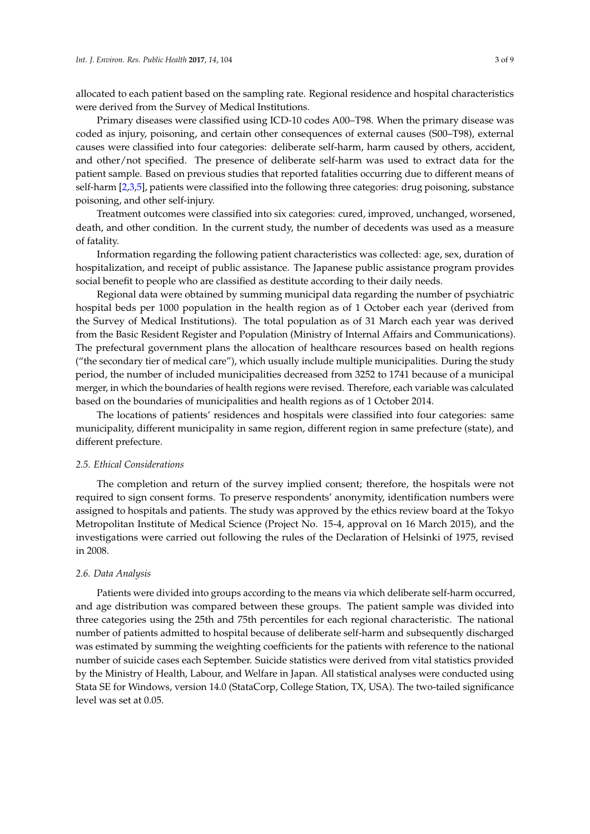allocated to each patient based on the sampling rate. Regional residence and hospital characteristics were derived from the Survey of Medical Institutions.

Primary diseases were classified using ICD-10 codes A00–T98. When the primary disease was coded as injury, poisoning, and certain other consequences of external causes (S00–T98), external causes were classified into four categories: deliberate self-harm, harm caused by others, accident, and other/not specified. The presence of deliberate self-harm was used to extract data for the patient sample. Based on previous studies that reported fatalities occurring due to different means of self-harm [\[2,](#page-6-1)[3,](#page-6-2)[5\]](#page-7-0), patients were classified into the following three categories: drug poisoning, substance poisoning, and other self-injury.

Treatment outcomes were classified into six categories: cured, improved, unchanged, worsened, death, and other condition. In the current study, the number of decedents was used as a measure of fatality.

Information regarding the following patient characteristics was collected: age, sex, duration of hospitalization, and receipt of public assistance. The Japanese public assistance program provides social benefit to people who are classified as destitute according to their daily needs.

Regional data were obtained by summing municipal data regarding the number of psychiatric hospital beds per 1000 population in the health region as of 1 October each year (derived from the Survey of Medical Institutions). The total population as of 31 March each year was derived from the Basic Resident Register and Population (Ministry of Internal Affairs and Communications). The prefectural government plans the allocation of healthcare resources based on health regions ("the secondary tier of medical care"), which usually include multiple municipalities. During the study period, the number of included municipalities decreased from 3252 to 1741 because of a municipal merger, in which the boundaries of health regions were revised. Therefore, each variable was calculated based on the boundaries of municipalities and health regions as of 1 October 2014.

The locations of patients' residences and hospitals were classified into four categories: same municipality, different municipality in same region, different region in same prefecture (state), and different prefecture.

#### *2.5. Ethical Considerations*

The completion and return of the survey implied consent; therefore, the hospitals were not required to sign consent forms. To preserve respondents' anonymity, identification numbers were assigned to hospitals and patients. The study was approved by the ethics review board at the Tokyo Metropolitan Institute of Medical Science (Project No. 15-4, approval on 16 March 2015), and the investigations were carried out following the rules of the Declaration of Helsinki of 1975, revised in 2008.

#### *2.6. Data Analysis*

Patients were divided into groups according to the means via which deliberate self-harm occurred, and age distribution was compared between these groups. The patient sample was divided into three categories using the 25th and 75th percentiles for each regional characteristic. The national number of patients admitted to hospital because of deliberate self-harm and subsequently discharged was estimated by summing the weighting coefficients for the patients with reference to the national number of suicide cases each September. Suicide statistics were derived from vital statistics provided by the Ministry of Health, Labour, and Welfare in Japan. All statistical analyses were conducted using Stata SE for Windows, version 14.0 (StataCorp, College Station, TX, USA). The two-tailed significance level was set at 0.05.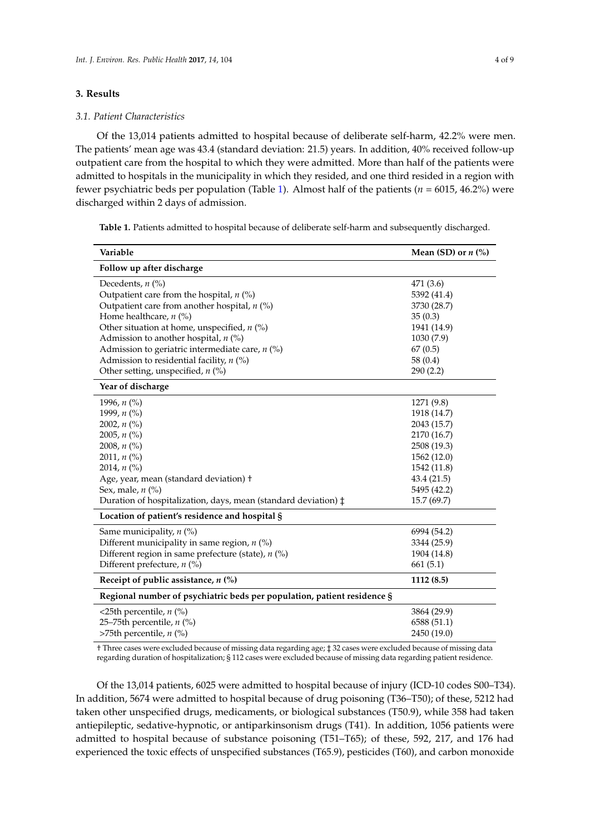### **3. Results**

#### *3.1. Patient Characteristics*

Of the 13,014 patients admitted to hospital because of deliberate self-harm, 42.2% were men. The patients' mean age was 43.4 (standard deviation: 21.5) years. In addition, 40% received follow-up outpatient care from the hospital to which they were admitted. More than half of the patients were admitted to hospitals in the municipality in which they resided, and one third resided in a region with fewer psychiatric beds per population (Table [1\)](#page-3-0). Almost half of the patients (*n* = 6015, 46.2%) were discharged within 2 days of admission.

<span id="page-3-0"></span>**Table 1.** Patients admitted to hospital because of deliberate self-harm and subsequently discharged.

| Variable                                                                | Mean (SD) or $n$ (%) |
|-------------------------------------------------------------------------|----------------------|
| Follow up after discharge                                               |                      |
| Decedents, $n$ $(\%)$                                                   | 471 (3.6)            |
| Outpatient care from the hospital, $n$ (%)                              | 5392 (41.4)          |
| Outpatient care from another hospital, $n$ (%)                          | 3730 (28.7)          |
| Home healthcare, $n$ (%)                                                | 35(0.3)              |
| Other situation at home, unspecified, $n$ (%)                           | 1941 (14.9)          |
| Admission to another hospital, $n$ (%)                                  | 1030 (7.9)           |
| Admission to geriatric intermediate care, $n$ (%)                       | 67(0.5)              |
| Admission to residential facility, $n$ (%)                              | 58 (0.4)             |
| Other setting, unspecified, $n$ (%)                                     | 290 (2.2)            |
| Year of discharge                                                       |                      |
| 1996, $n$ (%)                                                           | 1271 (9.8)           |
| 1999, n (%)                                                             | 1918 (14.7)          |
| 2002, $n$ (%)                                                           | 2043 (15.7)          |
| 2005, $n$ (%)                                                           | 2170 (16.7)          |
| 2008, $n$ (%)                                                           | 2508 (19.3)          |
| 2011, $n$ (%)                                                           | 1562 (12.0)          |
| 2014, $n$ (%)                                                           | 1542 (11.8)          |
| Age, year, mean (standard deviation) +                                  | 43.4 (21.5)          |
| Sex, male, $n$ (%)                                                      | 5495 (42.2)          |
| Duration of hospitalization, days, mean (standard deviation) ‡          | 15.7 (69.7)          |
| Location of patient's residence and hospital §                          |                      |
| Same municipality, $n$ (%)                                              | 6994 (54.2)          |
| Different municipality in same region, $n$ (%)                          | 3344 (25.9)          |
| Different region in same prefecture (state), $n$ (%)                    | 1904 (14.8)          |
| Different prefecture, $n$ (%)                                           | 661(5.1)             |
| Receipt of public assistance, $n$ (%)                                   | 1112 (8.5)           |
| Regional number of psychiatric beds per population, patient residence § |                      |
| <25th percentile, $n$ (%)                                               | 3864 (29.9)          |
| 25-75th percentile, $n$ (%)                                             | 6588 (51.1)          |
| >75th percentile, $n$ (%)                                               | 2450 (19.0)          |

† Three cases were excluded because of missing data regarding age; ‡ 32 cases were excluded because of missing data regarding duration of hospitalization; § 112 cases were excluded because of missing data regarding patient residence.

Of the 13,014 patients, 6025 were admitted to hospital because of injury (ICD-10 codes S00–T34). In addition, 5674 were admitted to hospital because of drug poisoning (T36–T50); of these, 5212 had taken other unspecified drugs, medicaments, or biological substances (T50.9), while 358 had taken antiepileptic, sedative-hypnotic, or antiparkinsonism drugs (T41). In addition, 1056 patients were admitted to hospital because of substance poisoning (T51–T65); of these, 592, 217, and 176 had experienced the toxic effects of unspecified substances (T65.9), pesticides (T60), and carbon monoxide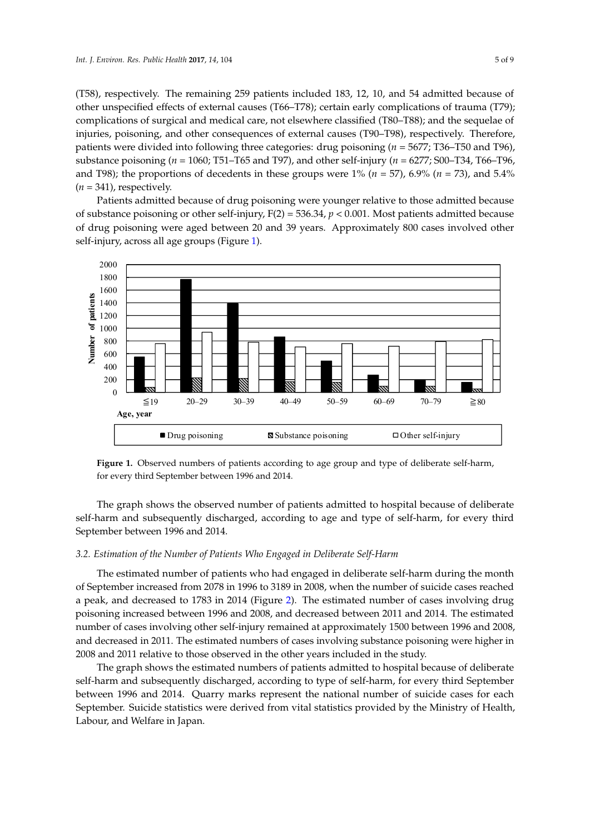(T58), respectively. The remaining 259 patients included 183, 12, 10, and 54 admitted because of other unspecified effects of external causes (T66–T78); certain early complications of trauma (T79); complications of surgical and medical care, not elsewhere classified (T80–T88); and the sequelae of injuries, poisoning, and other consequences of external causes (T90–T98), respectively. Therefore, patients were divided into following three categories: drug poisoning (*n* = 5677; T36–T50 and T96), substance poisoning ( $n = 1060$ ; T51–T65 and T97), and other self-injury ( $n = 6277$ ; S00–T34, T66–T96, and T98); the proportions of decedents in these groups were  $1\%$  ( $n = 57$ ), 6.9% ( $n = 73$ ), and  $5.4\%$  $(n = 341)$ , respectively.

Patients admitted because of drug poisoning were younger relative to those admitted because of substance poisoning or other self-injury,  $F(2) = 536.34$ ,  $p < 0.001$ . Most patients admitted because of drug poisoning were aged between 20 and 39 years. Approximately 800 cases involved other self-injury, across all age groups (Figure [1\)](#page-4-0).

<span id="page-4-0"></span>

for every third September between 1996 and 2014. every third September between 1996 and 2014. **Figure 1.** Observed numbers of patients according to age group and type of deliberate self-harm,

The graph shows the observed number of patients admitted to hospital because of deliberate The graph shows the observed number of patients admitted to hospital because of deliberate self-harm and subsequently discharged, according to age and type of self-harm, for every third September between 1996 and 2014. September between 1996 and 2014.

# *3.2. Estimation of the Number of Patients Who Engaged in Deliberate Self-Harm 3.2. Estimation of the Number of Patients Who Engaged in Deliberate Self-Harm*

The estimated number of patients who had engaged in deliberate self-harm during the month of September increased from 2078 in 1996 to 3189 in 2008, when the number of suicide cases reached of September increased from 2078 in 1996 to 3189 in 2008, when the number of suicide cases reached a peak, and decreased to 1783 in 2014 (Figure [2\)](#page-5-0). The estimated number of cases involving drug a peak, and decreased to 1783 in 2014 (Figure 2). The estimated number of cases involving drug poisoning increased between 1996 and 2008, and decreased between 2011 and 2014. The estimated poisoning increased between 1996 and 2008, and decreased between 2011 and 2014. The estimated number of cases involving other self-injury remained at approximately 1500 between 1996 and 2008, number of cases involving other self-injury remained at approximately 1500 between 1996 and 2008,  $\frac{1}{2}$ and decreased in 2011. The estimated numbers of cases involving substance poisoning were higher and decreased in 2011. The estimated numbers of cases involving substance poisoning were higher in The estimated number of patients who had engaged in deliberate self-harm during the month 2008 and 2011 relative to those observed in the other years included in the study.

in 2008 and 2011 relative to those observed in the other years included in the study. The graph shows the estimated numbers of patients admitted to hospital because of deliberate self-harm and subsequently discharged, according to type of self-harm, for every third September between 1996 and 2014. Quarry marks represent the national number of suicide cases for each September. Suicide statistics were derived from vital statistics provided by the Ministry of Health, Labour, and Welfare in Japan.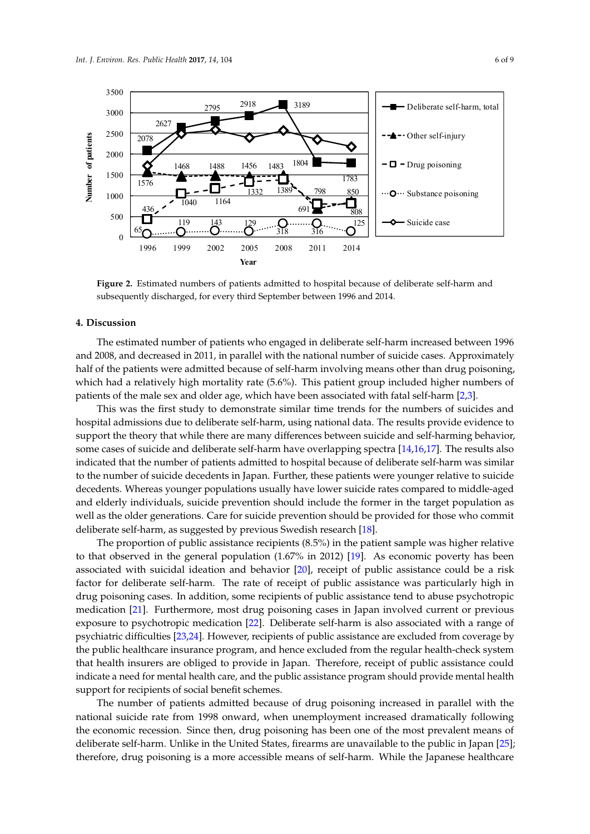<span id="page-5-0"></span>

**Figure 2.** Estimated numbers of patients admitted to hospital because of deliberate self-harm and **Figure 2.** Estimated numbers of patients admitted to hospital because of deliberate self-harm and subsequently discharged, for every third September between 1996 and 2014. subsequently discharged, for every third September between 1996 and 2014.

#### $T_{\text{S}}$  shows the estimated to hospital because of  $\alpha$  patients admitted to hospital because of deliberation **4. Discussion**

The estimated number of patients who engaged in deliberate self-harm increased between 1996 and 2008, and decreased in 2011, in parallel with the national number of suicide cases. Approximately half of the patients were admitted because of self-harm involving means other than drug poisoning, which had a relatively high mortality rate (5.6%). This patient group included higher numbers of patients of the male sex and older age, which have been associated with fatal self-harm [\[2](#page-6-1)[,3\]](#page-6-2).

This was the first study to demonstrate similar time trends for the numbers of suicides and hospital admissions due to deliberate self-harm, using national data. The results provide evidence to support the theory that while there are many differences between suicide and self-harming behavior, some cases of suicide and deliberate self-harm have overlapping spectra [\[14](#page-7-9)[,16](#page-7-11)[,17\]](#page-7-12). The results also indicated that the number of patients admitted to hospital because of deliberate self-harm was similar to the number of suicide decedents in Japan. Further, these patients were younger relative to suicide decedents. Whereas younger populations usually have lower suicide rates compared to middle-aged and elderly individuals, suicide prevention should include the former in the target population as well as the older generations. Care for suicide prevention should be provided for those who commit deliberate self-harm, as suggested by previous Swedish research [18].

The proportion of public assistance recipients  $(8.5%)$  in the patient sample was higher relative to that observed in the general population  $(1.67%$  in 2012) [\[19\]](#page-7-14). As economic poverty has been associated with suicidal ideation and behavior  $[20]$ , receipt of public assistance could be a risk factor for deliberate self-harm. The rate of receipt of public assistance was particularly high in drug poisoning cases. In addition, some recipients of public assistance tend to abuse psychotropic medication [21]. Furthermore, most drug poisoning cases in Japan involved current or previous exposure to psychotropic medication [22]. Deliberate self-harm is also associated with a range of psychiatric difficulties [23,24]. However, recipients of public assistance are excluded from coverage by the public healthcare insurance program, and hence excluded from the regular health-check system that health insurers are obliged to provide in Japan. Therefore, receipt of public assistance could indicate a need for mental health care, and the public assistance program should provide mental health support for recipients of social benefit schemes.

The number of patients admitted because of drug poisoning increased in parallel with the national suicide rate from 1998 onward, when unemployment increased dramatically following the economic recession. Since then, drug poisoning has been one of the most prevalent means of deliberate self-harm. Unlike in the United States, firearms are unavailable to the public in Japan [25]; therefore, drug poisoning is a more accessible means of self-harm. While the Japanese healthcare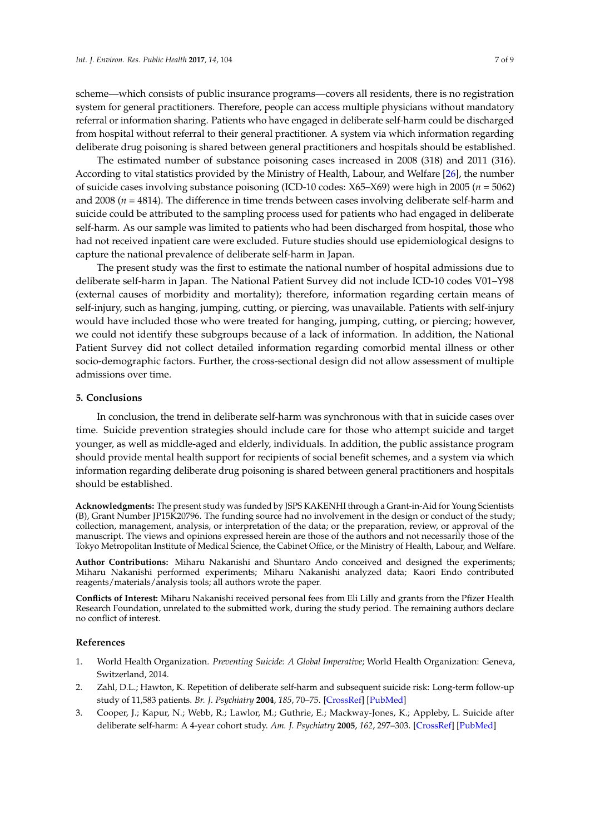scheme—which consists of public insurance programs—covers all residents, there is no registration system for general practitioners. Therefore, people can access multiple physicians without mandatory referral or information sharing. Patients who have engaged in deliberate self-harm could be discharged from hospital without referral to their general practitioner. A system via which information regarding deliberate drug poisoning is shared between general practitioners and hospitals should be established.

The estimated number of substance poisoning cases increased in 2008 (318) and 2011 (316). According to vital statistics provided by the Ministry of Health, Labour, and Welfare [\[26\]](#page-8-2), the number of suicide cases involving substance poisoning (ICD-10 codes: X65–X69) were high in 2005 (*n* = 5062) and 2008 (*n* = 4814). The difference in time trends between cases involving deliberate self-harm and suicide could be attributed to the sampling process used for patients who had engaged in deliberate self-harm. As our sample was limited to patients who had been discharged from hospital, those who had not received inpatient care were excluded. Future studies should use epidemiological designs to capture the national prevalence of deliberate self-harm in Japan.

The present study was the first to estimate the national number of hospital admissions due to deliberate self-harm in Japan. The National Patient Survey did not include ICD-10 codes V01–Y98 (external causes of morbidity and mortality); therefore, information regarding certain means of self-injury, such as hanging, jumping, cutting, or piercing, was unavailable. Patients with self-injury would have included those who were treated for hanging, jumping, cutting, or piercing; however, we could not identify these subgroups because of a lack of information. In addition, the National Patient Survey did not collect detailed information regarding comorbid mental illness or other socio-demographic factors. Further, the cross-sectional design did not allow assessment of multiple admissions over time.

#### **5. Conclusions**

In conclusion, the trend in deliberate self-harm was synchronous with that in suicide cases over time. Suicide prevention strategies should include care for those who attempt suicide and target younger, as well as middle-aged and elderly, individuals. In addition, the public assistance program should provide mental health support for recipients of social benefit schemes, and a system via which information regarding deliberate drug poisoning is shared between general practitioners and hospitals should be established.

**Acknowledgments:** The present study was funded by JSPS KAKENHI through a Grant-in-Aid for Young Scientists (B), Grant Number JP15K20796. The funding source had no involvement in the design or conduct of the study; collection, management, analysis, or interpretation of the data; or the preparation, review, or approval of the manuscript. The views and opinions expressed herein are those of the authors and not necessarily those of the Tokyo Metropolitan Institute of Medical Science, the Cabinet Office, or the Ministry of Health, Labour, and Welfare.

**Author Contributions:** Miharu Nakanishi and Shuntaro Ando conceived and designed the experiments; Miharu Nakanishi performed experiments; Miharu Nakanishi analyzed data; Kaori Endo contributed reagents/materials/analysis tools; all authors wrote the paper.

**Conflicts of Interest:** Miharu Nakanishi received personal fees from Eli Lilly and grants from the Pfizer Health Research Foundation, unrelated to the submitted work, during the study period. The remaining authors declare no conflict of interest.

#### **References**

- <span id="page-6-0"></span>1. World Health Organization. *Preventing Suicide: A Global Imperative*; World Health Organization: Geneva, Switzerland, 2014.
- <span id="page-6-1"></span>2. Zahl, D.L.; Hawton, K. Repetition of deliberate self-harm and subsequent suicide risk: Long-term follow-up study of 11,583 patients. *Br. J. Psychiatry* **2004**, *185*, 70–75. [\[CrossRef\]](http://dx.doi.org/10.1192/bjp.185.1.70) [\[PubMed\]](http://www.ncbi.nlm.nih.gov/pubmed/15231558)
- <span id="page-6-2"></span>3. Cooper, J.; Kapur, N.; Webb, R.; Lawlor, M.; Guthrie, E.; Mackway-Jones, K.; Appleby, L. Suicide after deliberate self-harm: A 4-year cohort study. *Am. J. Psychiatry* **2005**, *162*, 297–303. [\[CrossRef\]](http://dx.doi.org/10.1176/appi.ajp.162.2.297) [\[PubMed\]](http://www.ncbi.nlm.nih.gov/pubmed/15677594)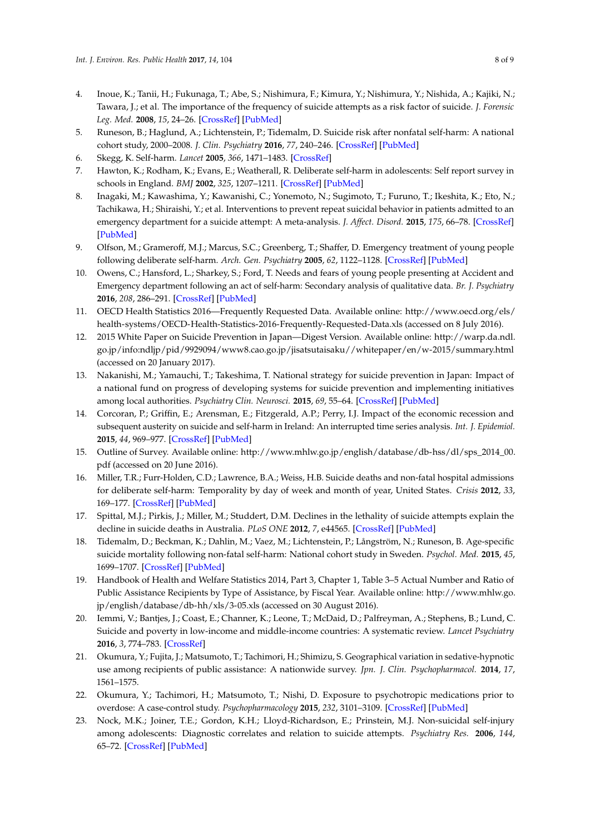- 4. Inoue, K.; Tanii, H.; Fukunaga, T.; Abe, S.; Nishimura, F.; Kimura, Y.; Nishimura, Y.; Nishida, A.; Kajiki, N.; Tawara, J.; et al. The importance of the frequency of suicide attempts as a risk factor of suicide. *J. Forensic Leg. Med.* **2008**, *15*, 24–26. [\[CrossRef\]](http://dx.doi.org/10.1016/j.jcfm.2006.10.003) [\[PubMed\]](http://www.ncbi.nlm.nih.gov/pubmed/17239647)
- <span id="page-7-0"></span>5. Runeson, B.; Haglund, A.; Lichtenstein, P.; Tidemalm, D. Suicide risk after nonfatal self-harm: A national cohort study, 2000–2008. *J. Clin. Psychiatry* **2016**, *77*, 240–246. [\[CrossRef\]](http://dx.doi.org/10.4088/JCP.14m09453) [\[PubMed\]](http://www.ncbi.nlm.nih.gov/pubmed/26301588)
- <span id="page-7-1"></span>6. Skegg, K. Self-harm. *Lancet* **2005**, *366*, 1471–1483. [\[CrossRef\]](http://dx.doi.org/10.1016/S0140-6736(05)67600-3)
- <span id="page-7-2"></span>7. Hawton, K.; Rodham, K.; Evans, E.; Weatherall, R. Deliberate self-harm in adolescents: Self report survey in schools in England. *BMJ* **2002**, *325*, 1207–1211. [\[CrossRef\]](http://dx.doi.org/10.1136/bmj.325.7374.1207) [\[PubMed\]](http://www.ncbi.nlm.nih.gov/pubmed/12446536)
- <span id="page-7-3"></span>8. Inagaki, M.; Kawashima, Y.; Kawanishi, C.; Yonemoto, N.; Sugimoto, T.; Furuno, T.; Ikeshita, K.; Eto, N.; Tachikawa, H.; Shiraishi, Y.; et al. Interventions to prevent repeat suicidal behavior in patients admitted to an emergency department for a suicide attempt: A meta-analysis. *J. Affect. Disord.* **2015**, *175*, 66–78. [\[CrossRef\]](http://dx.doi.org/10.1016/j.jad.2014.12.048) [\[PubMed\]](http://www.ncbi.nlm.nih.gov/pubmed/25594513)
- <span id="page-7-4"></span>9. Olfson, M.; Grameroff, M.J.; Marcus, S.C.; Greenberg, T.; Shaffer, D. Emergency treatment of young people following deliberate self-harm. *Arch. Gen. Psychiatry* **2005**, *62*, 1122–1128. [\[CrossRef\]](http://dx.doi.org/10.1001/archpsyc.62.10.1122) [\[PubMed\]](http://www.ncbi.nlm.nih.gov/pubmed/16203957)
- <span id="page-7-5"></span>10. Owens, C.; Hansford, L.; Sharkey, S.; Ford, T. Needs and fears of young people presenting at Accident and Emergency department following an act of self-harm: Secondary analysis of qualitative data. *Br. J. Psychiatry* **2016**, *208*, 286–291. [\[CrossRef\]](http://dx.doi.org/10.1192/bjp.bp.113.141242) [\[PubMed\]](http://www.ncbi.nlm.nih.gov/pubmed/26450583)
- <span id="page-7-6"></span>11. OECD Health Statistics 2016—Frequently Requested Data. Available online: [http://www.oecd.org/els/](http://www.oecd.org/els/health-systems/OECD-Health-Statistics-2016-Frequently-Requested-Data.xls) [health-systems/OECD-Health-Statistics-2016-Frequently-Requested-Data.xls](http://www.oecd.org/els/health-systems/OECD-Health-Statistics-2016-Frequently-Requested-Data.xls) (accessed on 8 July 2016).
- <span id="page-7-7"></span>12. 2015 White Paper on Suicide Prevention in Japan—Digest Version. Available online: [http://warp.da.ndl.](http://warp.da.ndl.go.jp/info:ndljp/pid/9929094/www8.cao.go.jp/jisatsutaisaku//whitepaper/en/w-2015/summary.html) [go.jp/info:ndljp/pid/9929094/www8.cao.go.jp/jisatsutaisaku//whitepaper/en/w-2015/summary.html](http://warp.da.ndl.go.jp/info:ndljp/pid/9929094/www8.cao.go.jp/jisatsutaisaku//whitepaper/en/w-2015/summary.html) (accessed on 20 January 2017).
- <span id="page-7-8"></span>13. Nakanishi, M.; Yamauchi, T.; Takeshima, T. National strategy for suicide prevention in Japan: Impact of a national fund on progress of developing systems for suicide prevention and implementing initiatives among local authorities. *Psychiatry Clin. Neurosci.* **2015**, *69*, 55–64. [\[CrossRef\]](http://dx.doi.org/10.1111/pcn.12222) [\[PubMed\]](http://www.ncbi.nlm.nih.gov/pubmed/25041482)
- <span id="page-7-9"></span>14. Corcoran, P.; Griffin, E.; Arensman, E.; Fitzgerald, A.P.; Perry, I.J. Impact of the economic recession and subsequent austerity on suicide and self-harm in Ireland: An interrupted time series analysis. *Int. J. Epidemiol.* **2015**, *44*, 969–977. [\[CrossRef\]](http://dx.doi.org/10.1093/ije/dyv058) [\[PubMed\]](http://www.ncbi.nlm.nih.gov/pubmed/26082406)
- <span id="page-7-10"></span>15. Outline of Survey. Available online: [http://www.mhlw.go.jp/english/database/db-hss/dl/sps\\_2014\\_00.](http://www.mhlw.go.jp/english/database/db-hss/dl/sps_2014_00.pdf) [pdf](http://www.mhlw.go.jp/english/database/db-hss/dl/sps_2014_00.pdf) (accessed on 20 June 2016).
- <span id="page-7-11"></span>16. Miller, T.R.; Furr-Holden, C.D.; Lawrence, B.A.; Weiss, H.B. Suicide deaths and non-fatal hospital admissions for deliberate self-harm: Temporality by day of week and month of year, United States. *Crisis* **2012**, *33*, 169–177. [\[CrossRef\]](http://dx.doi.org/10.1027/0227-5910/a000126) [\[PubMed\]](http://www.ncbi.nlm.nih.gov/pubmed/22450041)
- <span id="page-7-12"></span>17. Spittal, M.J.; Pirkis, J.; Miller, M.; Studdert, D.M. Declines in the lethality of suicide attempts explain the decline in suicide deaths in Australia. *PLoS ONE* **2012**, *7*, e44565. [\[CrossRef\]](http://dx.doi.org/10.1371/journal.pone.0044565) [\[PubMed\]](http://www.ncbi.nlm.nih.gov/pubmed/22957084)
- <span id="page-7-13"></span>18. Tidemalm, D.; Beckman, K.; Dahlin, M.; Vaez, M.; Lichtenstein, P.; Långström, N.; Runeson, B. Age-specific suicide mortality following non-fatal self-harm: National cohort study in Sweden. *Psychol. Med.* **2015**, *45*, 1699–1707. [\[CrossRef\]](http://dx.doi.org/10.1017/S0033291714002827) [\[PubMed\]](http://www.ncbi.nlm.nih.gov/pubmed/25425148)
- <span id="page-7-14"></span>19. Handbook of Health and Welfare Statistics 2014, Part 3, Chapter 1, Table 3–5 Actual Number and Ratio of Public Assistance Recipients by Type of Assistance, by Fiscal Year. Available online: [http://www.mhlw.go.](http://www.mhlw.go.jp/english/database/db-hh/xls/3-05.xls) [jp/english/database/db-hh/xls/3-05.xls](http://www.mhlw.go.jp/english/database/db-hh/xls/3-05.xls) (accessed on 30 August 2016).
- <span id="page-7-15"></span>20. Iemmi, V.; Bantjes, J.; Coast, E.; Channer, K.; Leone, T.; McDaid, D.; Palfreyman, A.; Stephens, B.; Lund, C. Suicide and poverty in low-income and middle-income countries: A systematic review. *Lancet Psychiatry* **2016**, *3*, 774–783. [\[CrossRef\]](http://dx.doi.org/10.1016/S2215-0366(16)30066-9)
- <span id="page-7-16"></span>21. Okumura, Y.; Fujita, J.; Matsumoto, T.; Tachimori, H.; Shimizu, S. Geographical variation in sedative-hypnotic use among recipients of public assistance: A nationwide survey. *Jpn. J. Clin. Psychopharmacol.* **2014**, *17*, 1561–1575.
- <span id="page-7-17"></span>22. Okumura, Y.; Tachimori, H.; Matsumoto, T.; Nishi, D. Exposure to psychotropic medications prior to overdose: A case-control study. *Psychopharmacology* **2015**, *232*, 3101–3109. [\[CrossRef\]](http://dx.doi.org/10.1007/s00213-015-3952-8) [\[PubMed\]](http://www.ncbi.nlm.nih.gov/pubmed/25963562)
- <span id="page-7-18"></span>23. Nock, M.K.; Joiner, T.E.; Gordon, K.H.; Lloyd-Richardson, E.; Prinstein, M.J. Non-suicidal self-injury among adolescents: Diagnostic correlates and relation to suicide attempts. *Psychiatry Res.* **2006**, *144*, 65–72. [\[CrossRef\]](http://dx.doi.org/10.1016/j.psychres.2006.05.010) [\[PubMed\]](http://www.ncbi.nlm.nih.gov/pubmed/16887199)